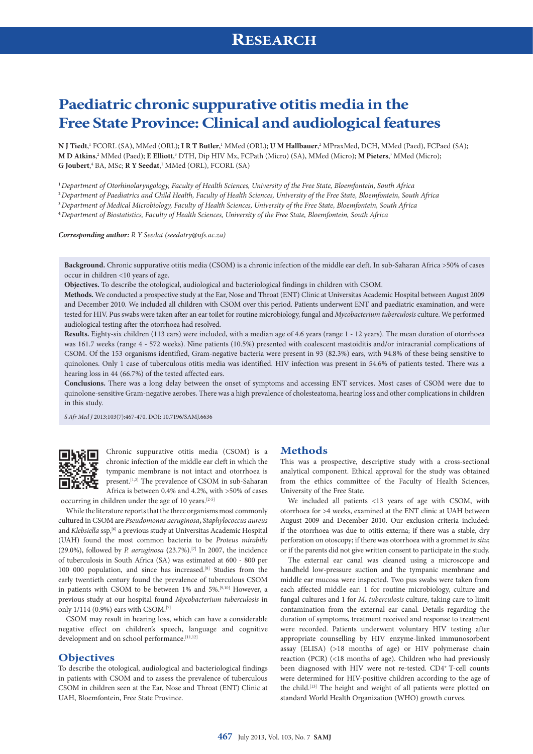# **Paediatric chronic suppurative otitis media in the Free State Province: Clinical and audiological features**

 $N$  J Tiedt,' FCORL (SA), MMed (ORL); I R T Butler,' MMed (ORL); U M Hallbauer,<sup>2</sup> MPraxMed, DCH, MMed (Paed), FCPaed (SA); **M D Atkins,**? MMed (Paed); **E Elliott,**3 DTH, Dip HIV Mx, FCPath (Micro) (SA), MMed (Micro); **M Pieters**,3 MMed (Micro); **G Joubert**, <sup>4</sup> BA, MSc; **R Y Seedat**, 1 MMed (ORL), FCORL (SA)

**<sup>1</sup>***Department of Otorhinolaryngology, Faculty of Health Sciences, University of the Free State, Bloemfontein, South Africa*

**<sup>2</sup>***Department of Paediatrics and Child Health, Faculty of Health Sciences, University of the Free State, Bloemfontein, South Africa*

**<sup>3</sup>***Department of Medical Microbiology, Faculty of Health Sciences, University of the Free State, Bloemfontein, South Africa*

**<sup>4</sup>***Department of Biostatistics, Faculty of Health Sciences, University of the Free State, Bloemfontein, South Africa*

*Corresponding author: R Y Seedat ([seedatry@ufs.ac.za\)](mailto:seedatry@ufs.ac.za)*

**Background.** Chronic suppurative otitis media (CSOM) is a chronic infection of the middle ear cleft. In sub-Saharan Africa >50% of cases occur in children <10 years of age.

**Objectives.** To describe the otological, audiological and bacteriological findings in children with CSOM.

**Methods.** We conducted a prospective study at the Ear, Nose and Throat (ENT) Clinic at Universitas Academic Hospital between August 2009 and December 2010. We included all children with CSOM over this period. Patients underwent ENT and paediatric examination, and were tested for HIV. Pus swabs were taken after an ear toilet for routine microbiology, fungal and *Mycobacterium tuberculosis* culture. We performed audiological testing after the otorrhoea had resolved.

**Results.** Eighty-six children (113 ears) were included, with a median age of 4.6 years (range 1 - 12 years). The mean duration of otorrhoea was 161.7 weeks (range 4 - 572 weeks). Nine patients (10.5%) presented with coalescent mastoiditis and/or intracranial complications of CSOM. Of the 153 organisms identified, Gram-negative bacteria were present in 93 (82.3%) ears, with 94.8% of these being sensitive to quinolones. Only 1 case of tuberculous otitis media was identified. HIV infection was present in 54.6% of patients tested. There was a hearing loss in 44 (66.7%) of the tested affected ears.

**Conclusions.** There was a long delay between the onset of symptoms and accessing ENT services. Most cases of CSOM were due to quinolone-sensitive Gram-negative aerobes. There was a high prevalence of cholesteatoma, hearing loss and other complications in children in this study.

*S Afr Med J* 2013;103(7):467-470. DOI: 10.7196/SAMJ.6636



Chronic suppurative otitis media (CSOM) is a chronic infection of the middle ear cleft in which the tympanic membrane is not intact and otorrhoea is present.<sup>[1,2]</sup> The prevalence of CSOM in sub-Saharan Africa is between 0.4% and 4.2%, with >50% of cases

occurring in children under the age of 10 years.[2-5]

While the literature reports that the three organisms most commonly cultured in CSOM are *Pseudomonas aeruginosa***,** *Staphylococcus aureus* and *Klebsiella* ssp,<sup>[6]</sup> a previous study at Universitas Academic Hospital (UAH) found the most common bacteria to be *Proteus mirabilis* (29.0%), followed by *P. aeruginosa* **(**23.7%).[7] In 2007, the incidence of tuberculosis in South Africa (SA) was estimated at 600 - 800 per 100 000 population, and since has increased.<sup>[8]</sup> Studies from the early twentieth century found the prevalence of tuberculous CSOM in patients with CSOM to be between 1% and 5%.<sup>[9,10]</sup> However, a previous study at our hospital found *Mycobacterium tuberculosis* in only 1/114 (0.9%) ears with CSOM.[7]

CSOM may result in hearing loss, which can have a considerable negative effect on children's speech, language and cognitive development and on school performance.<sup>[11,12]</sup>

#### **Objectives**

To describe the otological, audiological and bacteriological findings in patients with CSOM and to assess the prevalence of tuberculous CSOM in children seen at the Ear, Nose and Throat (ENT) Clinic at UAH, Bloemfontein, Free State Province.

### **Methods**

This was a prospective, descriptive study with a cross-sectional analytical component. Ethical approval for the study was obtained from the ethics committee of the Faculty of Health Sciences, University of the Free State.

We included all patients <13 years of age with CSOM, with otorrhoea for >4 weeks, examined at the ENT clinic at UAH between August 2009 and December 2010. Our exclusion criteria included: if the otorrhoea was due to otitis externa; if there was a stable, dry perforation on otoscopy; if there was otorrhoea with a grommet *in situ*; or if the parents did not give written consent to participate in the study.

The external ear canal was cleaned using a microscope and handheld low-pressure suction and the tympanic membrane and middle ear mucosa were inspected. Two pus swabs were taken from each affected middle ear: 1 for routine microbiology, culture and fungal cultures and 1 for *M. tuberculosis* culture, taking care to limit contamination from the external ear canal. Details regarding the duration of symptoms, treatment received and response to treatment were recorded. Patients underwent voluntary HIV testing after appropriate counselling by HIV enzyme-linked immunosorbent assay (ELISA) (>18 months of age) or HIV polymerase chain reaction (PCR) (<18 months of age). Children who had previously been diagnosed with HIV were not re-tested. CD4<sup>+</sup> T-cell counts were determined for HIV-positive children according to the age of the child.<sup>[13]</sup> The height and weight of all patients were plotted on standard World Health Organization (WHO) growth curves.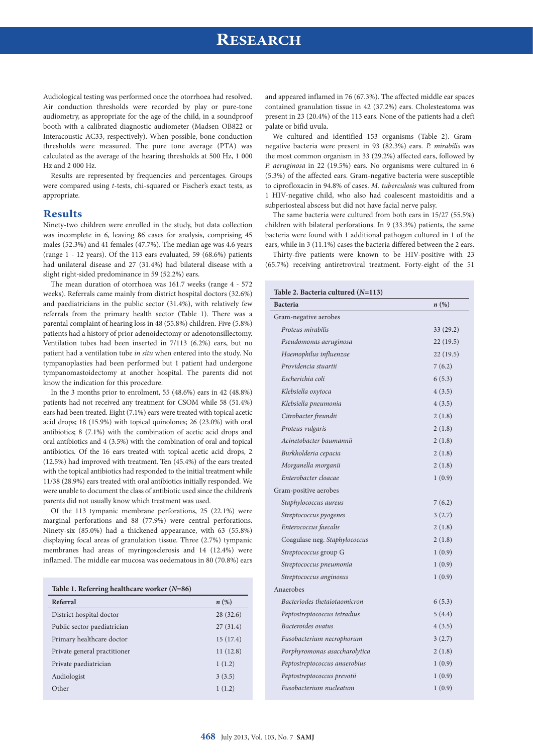## **RESEARCH**

Audiological testing was performed once the otorrhoea had resolved. Air conduction thresholds were recorded by play or pure-tone audiometry, as appropriate for the age of the child, in a soundproof booth with a calibrated diagnostic audiometer (Madsen OB822 or Interacoustic AC33, respectively). When possible, bone conduction thresholds were measured. The pure tone average (PTA) was calculated as the average of the hearing thresholds at 500 Hz, 1 000 Hz and 2 000 Hz.

Results are represented by frequencies and percentages. Groups were compared using *t*-tests, chi-squared or Fischer's exact tests, as appropriate.

### **Results**

Ninety-two children were enrolled in the study, but data collection was incomplete in 6, leaving 86 cases for analysis, comprising 45 males (52.3%) and 41 females (47.7%). The median age was 4.6 years (range 1 - 12 years). Of the 113 ears evaluated, 59 (68.6%) patients had unilateral disease and 27 (31.4%) had bilateral disease with a slight right-sided predominance in 59 (52.2%) ears.

The mean duration of otorrhoea was 161.7 weeks (range 4 - 572 weeks). Referrals came mainly from district hospital doctors (32.6%) and paediatricians in the public sector (31.4%), with relatively few referrals from the primary health sector (Table 1). There was a parental complaint of hearing loss in 48 (55.8%) children. Five (5.8%) patients had a history of prior adenoidectomy or adenotonsillectomy. Ventilation tubes had been inserted in 7/113 (6.2%) ears, but no patient had a ventilation tube *in situ* when entered into the study. No tympanoplasties had been performed but 1 patient had undergone tympanomastoidectomy at another hospital. The parents did not know the indication for this procedure.

In the 3 months prior to enrolment, 55 (48.6%) ears in 42 (48.8%) patients had not received any treatment for CSOM while 58 (51.4%) ears had been treated. Eight (7.1%) ears were treated with topical acetic acid drops; 18 (15.9%) with topical quinolones; 26 (23.0%) with oral antibiotics; 8 (7.1%) with the combination of acetic acid drops and oral antibiotics and 4 (3.5%) with the combination of oral and topical antibiotics. Of the 16 ears treated with topical acetic acid drops, 2 (12.5%) had improved with treatment. Ten (45.4%) of the ears treated with the topical antibiotics had responded to the initial treatment while 11/38 (28.9%) ears treated with oral antibiotics initially responded. We were unable to document the class of antibiotic used since the children's parents did not usually know which treatment was used.

Of the 113 tympanic membrane perforations, 25 (22.1%) were marginal perforations and 88 (77.9%) were central perforations. Ninety-six (85.0%) had a thickened appearance, with 63 (55.8%) displaying focal areas of granulation tissue. Three (2.7%) tympanic membranes had areas of myringosclerosis and 14 (12.4%) were inflamed. The middle ear mucosa was oedematous in 80 (70.8%) ears

| Table 1. Referring healthcare worker $(N=86)$ |                    |  |  |  |  |  |
|-----------------------------------------------|--------------------|--|--|--|--|--|
| Referral                                      | $n\left(\%\right)$ |  |  |  |  |  |
| District hospital doctor                      | 28(32.6)           |  |  |  |  |  |
| Public sector paediatrician                   | 27(31.4)           |  |  |  |  |  |
| Primary healthcare doctor                     | 15(17.4)           |  |  |  |  |  |
| Private general practitioner                  | 11(12.8)           |  |  |  |  |  |
| Private paediatrician                         | 1(1.2)             |  |  |  |  |  |
| Audiologist                                   | 3(3.5)             |  |  |  |  |  |
| Other                                         | 1(1.2)             |  |  |  |  |  |

and appeared inflamed in 76 (67.3%). The affected middle ear spaces contained granulation tissue in 42 (37.2%) ears. Cholesteatoma was present in 23 (20.4%) of the 113 ears. None of the patients had a cleft palate or bifid uvula.

We cultured and identified 153 organisms (Table 2). Gramnegative bacteria were present in 93 (82.3%) ears. *P. mirabilis* was the most common organism in 33 (29.2%) affected ears, followed by *P. aeruginosa* in 22 (19.5%) ears. No organisms were cultured in 6 (5.3%) of the affected ears. Gram-negative bacteria were susceptible to ciprofloxacin in 94.8% of cases. *M. tuberculosis* was cultured from 1 HIV-negative child, who also had coalescent mastoiditis and a subperiosteal abscess but did not have facial nerve palsy.

The same bacteria were cultured from both ears in 15/27 (55.5%) children with bilateral perforations. In 9 (33.3%) patients, the same bacteria were found with 1 additional pathogen cultured in 1 of the ears, while in 3 (11.1%) cases the bacteria differed between the 2 ears.

Thirty-five patients were known to be HIV-positive with 23 (65.7%) receiving antiretroviral treatment. Forty-eight of the 51

### **Table 2. Bacteria cultured (***N***=113) Bacteria** *n* **(%)** Gram-negative aerobes *Proteus mirabilis* 33 (29.2) *Pseudomonas aeruginosa* 22 (19.5) *Haemophilus influenzae* 22 (19.5) *Providencia stuartii* 7 (6.2) *Escherichia coli* 6 (5.3) *Klebsiella oxytoca* 4 (3.5) *Klebsiella pneumonia* 4 (3.5) *Citrobacter freundii* 2 (1.8) *Proteus vulgaris* 2 (1.8) *Acinetobacter baumannii* 2 (1.8) *Burkholderia cepacia* 2 (1.8) *Morganella morganii* 2 (1.8) *Enterobacter cloacae* 1 (0.9) Gram-positive aerobes *Staphylococcus aureus* 7 (6.2) *Streptococcus pyogenes* 3 (2.7) *Enterococcus faecalis* 2 (1.8) Coagulase neg. *Staphylococcus* 2 (1.8) *Streptococcus* group G 1 (0.9) *Streptococcus pneumonia* 1 (0.9) *Streptococcus anginosus* 1 (0.9) Anaerobes *Bacteriodes thetaiotaomicron* 6 (5.3) *Peptostreptococcus tetradius* 5 (4.4) *Bacteroides ovatus* 4 (3.5) *Fusobacterium necrophorum* 3 (2.7) *Porphyromonas asaccharolytica* 2 (1.8) *Peptostreptococcus anaerobius* 1 (0.9) *Peptostreptococcus prevotii* 1 (0.9) *Fusobacterium nucleatum* 1 (0.9)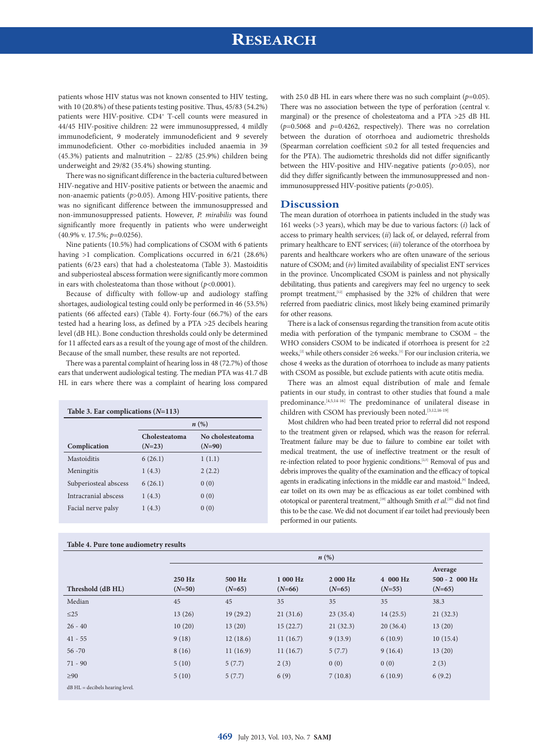### **RESEARCH**

patients whose HIV status was not known consented to HIV testing, with 10 (20.8%) of these patients testing positive. Thus, 45/83 (54.2%) patients were HIV-positive. CD4<sup>+</sup> T-cell counts were measured in 44/45 HIV-positive children: 22 were immunosuppressed, 4 mildly immunodeficient, 9 moderately immunodeficient and 9 severely immunodeficient. Other co-morbidities included anaemia in 39 (45.3%) patients and malnutrition – 22/85 (25.9%) children being underweight and 29/82 (35.4%) showing stunting.

There was no significant difference in the bacteria cultured between HIV-negative and HIV-positive patients or between the anaemic and non-anaemic patients (*p*>0.05). Among HIV-positive patients, there was no significant difference between the immunosuppressed and non-immunosuppressed patients. However, *P. mirabilis* was found significantly more frequently in patients who were underweight (40.9% v. 17.5%; *p*=0.0256).

Nine patients (10.5%) had complications of CSOM with 6 patients having >1 complication. Complications occurred in 6/21 (28.6%) patients (6/23 ears) that had a cholesteatoma (Table 3). Mastoiditis and subperiosteal abscess formation were significantly more common in ears with cholesteatoma than those without (*p*<0.0001).

Because of difficulty with follow-up and audiology staffing shortages, audiological testing could only be performed in 46 (53.5%) patients (66 affected ears) (Table 4). Forty-four (66.7%) of the ears tested had a hearing loss, as defined by a PTA >25 decibels hearing level (dB HL). Bone conduction thresholds could only be determined for 11 affected ears as a result of the young age of most of the children. Because of the small number, these results are not reported.

There was a parental complaint of hearing loss in 48 (72.7%) of those ears that underwent audiological testing. The median PTA was 41.7 dB HL in ears where there was a complaint of hearing loss compared

| Table 3. Ear complications $(N=113)$ |                                   |          |  |  |  |  |  |
|--------------------------------------|-----------------------------------|----------|--|--|--|--|--|
|                                      | $n(\%)$                           |          |  |  |  |  |  |
|                                      | No cholesteatoma<br>Cholesteatoma |          |  |  |  |  |  |
| Complication                         | $(N=23)$                          | $(N=90)$ |  |  |  |  |  |
| Mastoiditis                          | 6(26.1)                           | 1(1.1)   |  |  |  |  |  |
| Meningitis                           | 1(4.3)                            | 2(2.2)   |  |  |  |  |  |
| Subperiosteal abscess                | 6(26.1)                           | 0(0)     |  |  |  |  |  |
| Intracranial abscess                 | 1(4.3)                            | 0(0)     |  |  |  |  |  |
| Facial nerve palsy                   | 1(4.3)                            | 0(0)     |  |  |  |  |  |

### **Table 4. Pure tone audiometry results**

with 25.0 dB HL in ears where there was no such complaint ( $p=0.05$ ). There was no association between the type of perforation (central v. marginal) or the presence of cholesteatoma and a PTA >25 dB HL (*p*=0.5068 and *p*=0.4262, respectively). There was no correlation between the duration of otorrhoea and audiometric thresholds (Spearman correlation coefficient ≤0.2 for all tested frequencies and for the PTA). The audiometric thresholds did not differ significantly between the HIV-positive and HIV-negative patients (*p*>0.05), nor did they differ significantly between the immunosuppressed and nonimmunosuppressed HIV-positive patients (*p*>0.05).

### **Discussion**

The mean duration of otorrhoea in patients included in the study was 161 weeks (>3 years), which may be due to various factors: (*i*) lack of access to primary health services; (*ii*) lack of, or delayed, referral from primary healthcare to ENT services; (*iii*) tolerance of the otorrhoea by parents and healthcare workers who are often unaware of the serious nature of CSOM; and (*iv*) limited availability of specialist ENT services in the province. Uncomplicated CSOM is painless and not physically debilitating, thus patients and caregivers may feel no urgency to seek prompt treatment,<sup>[12]</sup> emphasised by the 32% of children that were referred from paediatric clinics, most likely being examined primarily for other reasons.

There is a lack of consensus regarding the transition from acute otitis media with perforation of the tympanic membrane to CSOM – the WHO considers CSOM to be indicated if otorrhoea is present for ≥2 weeks,[2] while others consider ≥6 weeks.[1] For our inclusion criteria, we chose 4 weeks as the duration of otorrhoea to include as many patients with CSOM as possible, but exclude patients with acute otitis media.

There was an almost equal distribution of male and female patients in our study, in contrast to other studies that found a male predominance.[4,5,14-16] The predominance of unilateral disease in children with CSOM has previously been noted.[3,12,16-19]

Most children who had been treated prior to referral did not respond to the treatment given or relapsed, which was the reason for referral. Treatment failure may be due to failure to combine ear toilet with medical treatment, the use of ineffective treatment or the result of re-infection related to poor hygienic conditions.[2,3] Removal of pus and debris improves the quality of the examination and the efficacy of topical agents in eradicating infections in the middle ear and mastoid.<sup>[6]</sup> Indeed, ear toilet on its own may be as efficacious as ear toilet combined with ototopical or parenteral treatment,<sup>[19]</sup> although Smith *et al.*<sup>[20]</sup> did not find this to be the case. We did not document if ear toilet had previously been performed in our patients.

| $\cdot$                           | $n\left(\%\right)$ |                    |                      |                      |                      |                                        |  |  |
|-----------------------------------|--------------------|--------------------|----------------------|----------------------|----------------------|----------------------------------------|--|--|
| Threshold (dB HL)                 | 250 Hz<br>$(N=50)$ | 500 Hz<br>$(N=65)$ | 1 000 Hz<br>$(N=66)$ | 2 000 Hz<br>$(N=65)$ | 4 000 Hz<br>$(N=55)$ | Average<br>$500 - 2000$ Hz<br>$(N=65)$ |  |  |
| Median                            | 45                 | 45                 | 35                   | 35                   | 35                   | 38.3                                   |  |  |
| $\leq$ 25                         | 13(26)             | 19(29.2)           | 21(31.6)             | 23(35.4)             | 14(25.5)             | 21(32.3)                               |  |  |
| $26 - 40$                         | 10(20)             | 13(20)             | 15(22.7)             | 21(32.3)             | 20(36.4)             | 13(20)                                 |  |  |
| $41 - 55$                         | 9(18)              | 12(18.6)           | 11(16.7)             | 9(13.9)              | 6(10.9)              | 10(15.4)                               |  |  |
| $56 - 70$                         | 8(16)              | 11(16.9)           | 11(16.7)             | 5(7.7)               | 9(16.4)              | 13(20)                                 |  |  |
| $71 - 90$                         | 5(10)              | 5(7.7)             | 2(3)                 | 0(0)                 | 0(0)                 | 2(3)                                   |  |  |
| $\geq 90$                         | 5(10)              | 5(7.7)             | 6(9)                 | 7(10.8)              | 6(10.9)              | 6(9.2)                                 |  |  |
| $dB$ HL = decibels hearing level. |                    |                    |                      |                      |                      |                                        |  |  |